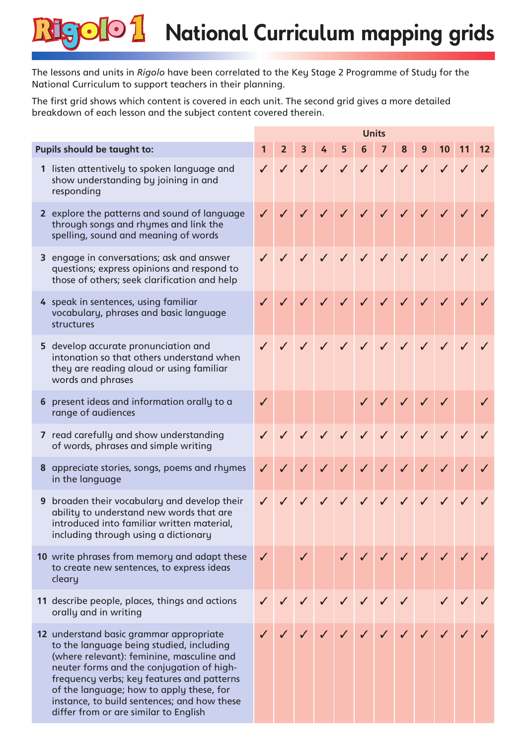## $\bigodot$ National Curriculum mapping grids  $\bigodot$

The lessons and units in *Rigolo* have been correlated to the Key Stage 2 Programme of Study for the National Curriculum to support teachers in their planning.

The first grid shows which content is covered in each unit. The second grid gives a more detailed breakdown of each lesson and the subject content covered therein.

|  |                                                                                                                                                                                                                                                                                                                                                                 |              | <b>Units</b>                           |                |  |  |  |  |  |  |  |                       |  |
|--|-----------------------------------------------------------------------------------------------------------------------------------------------------------------------------------------------------------------------------------------------------------------------------------------------------------------------------------------------------------------|--------------|----------------------------------------|----------------|--|--|--|--|--|--|--|-----------------------|--|
|  | Pupils should be taught to:                                                                                                                                                                                                                                                                                                                                     | $\mathbf 1$  | 2 <sup>7</sup>                         | 3 <sup>7</sup> |  |  |  |  |  |  |  | 4 5 6 7 8 9 10 11     |  |
|  | 1 listen attentively to spoken language and<br>show understanding by joining in and<br>responding                                                                                                                                                                                                                                                               |              |                                        |                |  |  |  |  |  |  |  | V V V V V V V V V V V |  |
|  | 2 explore the patterns and sound of language<br>through songs and rhymes and link the<br>spelling, sound and meaning of words                                                                                                                                                                                                                                   |              | $\sqrt{2}$                             |                |  |  |  |  |  |  |  | 111111111             |  |
|  | 3 engage in conversations; ask and answer<br>questions; express opinions and respond to<br>those of others; seek clarification and help                                                                                                                                                                                                                         |              |                                        |                |  |  |  |  |  |  |  | V J J J J J J J J J   |  |
|  | 4 speak in sentences, using familiar<br>vocabulary, phrases and basic language<br>structures                                                                                                                                                                                                                                                                    |              |                                        | $\sqrt{2}$     |  |  |  |  |  |  |  | V V V V V V V V       |  |
|  | 5 develop accurate pronunciation and<br>intonation so that others understand when<br>they are reading aloud or using familiar<br>words and phrases                                                                                                                                                                                                              |              | $\checkmark$ $\checkmark$ $\checkmark$ |                |  |  |  |  |  |  |  | V J J J J J J J       |  |
|  | 6 present ideas and information orally to a<br>range of audiences                                                                                                                                                                                                                                                                                               | $\checkmark$ |                                        |                |  |  |  |  |  |  |  | 111111                |  |
|  | 7 read carefully and show understanding<br>of words, phrases and simple writing                                                                                                                                                                                                                                                                                 |              |                                        |                |  |  |  |  |  |  |  | J J J J J J J J J J J |  |
|  | 8 appreciate stories, songs, poems and rhymes<br>in the language                                                                                                                                                                                                                                                                                                | $\checkmark$ |                                        | $\checkmark$   |  |  |  |  |  |  |  | 111111111             |  |
|  | 9 broaden their vocabulary and develop their<br>ability to understand new words that are<br>introduced into familiar written material,<br>including through using a dictionary                                                                                                                                                                                  |              |                                        |                |  |  |  |  |  |  |  | J J J J J J J J J J J |  |
|  | 10 write phrases from memory and adapt these<br>to create new sentences, to express ideas<br>cleary                                                                                                                                                                                                                                                             | $\checkmark$ |                                        | $\checkmark$   |  |  |  |  |  |  |  |                       |  |
|  | 11 describe people, places, things and actions<br>orally and in writing                                                                                                                                                                                                                                                                                         |              |                                        |                |  |  |  |  |  |  |  |                       |  |
|  | 12 understand basic grammar appropriate<br>to the language being studied, including<br>(where relevant): feminine, masculine and<br>neuter forms and the conjugation of high-<br>frequency verbs; key features and patterns<br>of the language; how to apply these, for<br>instance, to build sentences; and how these<br>differ from or are similar to English |              |                                        |                |  |  |  |  |  |  |  |                       |  |